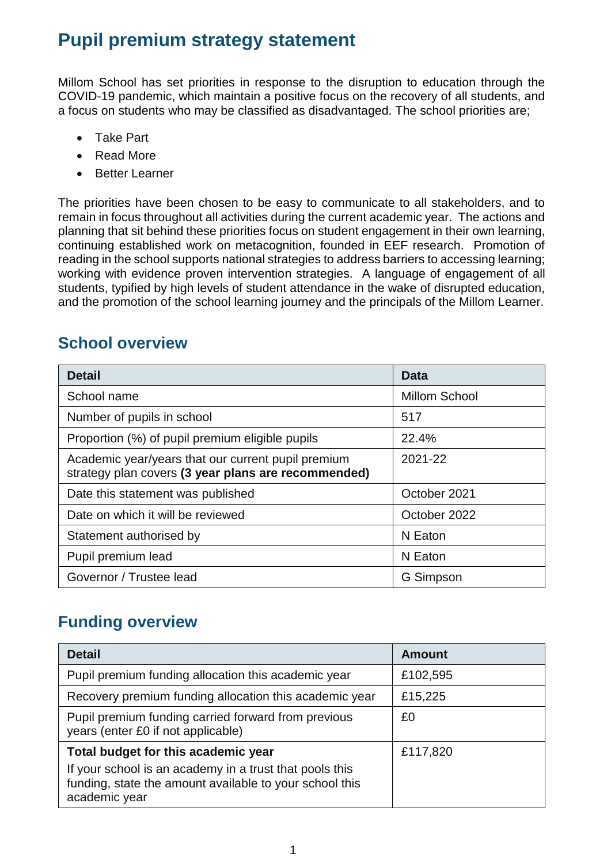# **Pupil premium strategy statement**

Millom School has set priorities in response to the disruption to education through the COVID-19 pandemic, which maintain a positive focus on the recovery of all students, and a focus on students who may be classified as disadvantaged. The school priorities are;

- Take Part
- Read More
- Better Learner

The priorities have been chosen to be easy to communicate to all stakeholders, and to remain in focus throughout all activities during the current academic year. The actions and planning that sit behind these priorities focus on student engagement in their own learning, continuing established work on metacognition, founded in EEF research. Promotion of reading in the school supports national strategies to address barriers to accessing learning; working with evidence proven intervention strategies. A language of engagement of all students, typified by high levels of student attendance in the wake of disrupted education, and the promotion of the school learning journey and the principals of the Millom Learner.

# **School overview**

| <b>Detail</b>                                                                                             | Data          |
|-----------------------------------------------------------------------------------------------------------|---------------|
| School name                                                                                               | Millom School |
| Number of pupils in school                                                                                | 517           |
| Proportion (%) of pupil premium eligible pupils                                                           | 22.4%         |
| Academic year/years that our current pupil premium<br>strategy plan covers (3 year plans are recommended) | 2021-22       |
| Date this statement was published                                                                         | October 2021  |
| Date on which it will be reviewed                                                                         | October 2022  |
| Statement authorised by                                                                                   | N Eaton       |
| Pupil premium lead                                                                                        | N Eaton       |
| Governor / Trustee lead                                                                                   | G Simpson     |

#### **Funding overview**

| <b>Detail</b>                                                                                                                       | <b>Amount</b> |
|-------------------------------------------------------------------------------------------------------------------------------------|---------------|
| Pupil premium funding allocation this academic year                                                                                 | £102,595      |
| Recovery premium funding allocation this academic year                                                                              | £15,225       |
| Pupil premium funding carried forward from previous<br>years (enter £0 if not applicable)                                           | £0            |
| Total budget for this academic year                                                                                                 | £117,820      |
| If your school is an academy in a trust that pools this<br>funding, state the amount available to your school this<br>academic year |               |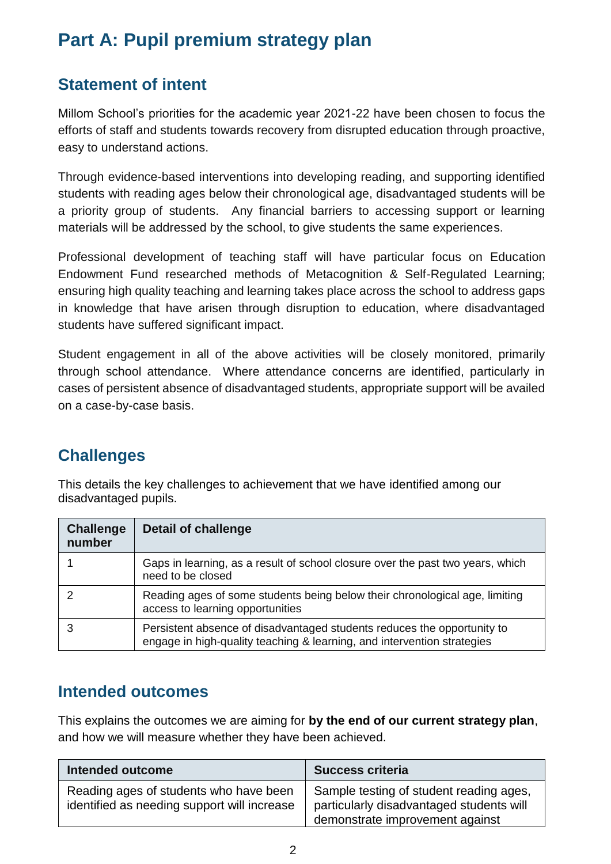# **Part A: Pupil premium strategy plan**

# **Statement of intent**

Millom School's priorities for the academic year 2021-22 have been chosen to focus the efforts of staff and students towards recovery from disrupted education through proactive, easy to understand actions.

Through evidence-based interventions into developing reading, and supporting identified students with reading ages below their chronological age, disadvantaged students will be a priority group of students. Any financial barriers to accessing support or learning materials will be addressed by the school, to give students the same experiences.

Professional development of teaching staff will have particular focus on Education Endowment Fund researched methods of Metacognition & Self-Regulated Learning; ensuring high quality teaching and learning takes place across the school to address gaps in knowledge that have arisen through disruption to education, where disadvantaged students have suffered significant impact.

Student engagement in all of the above activities will be closely monitored, primarily through school attendance. Where attendance concerns are identified, particularly in cases of persistent absence of disadvantaged students, appropriate support will be availed on a case-by-case basis.

# **Challenges**

This details the key challenges to achievement that we have identified among our disadvantaged pupils.

| <b>Challenge</b><br>number | <b>Detail of challenge</b>                                                                                                                         |
|----------------------------|----------------------------------------------------------------------------------------------------------------------------------------------------|
|                            | Gaps in learning, as a result of school closure over the past two years, which<br>need to be closed                                                |
|                            | Reading ages of some students being below their chronological age, limiting<br>access to learning opportunities                                    |
|                            | Persistent absence of disadvantaged students reduces the opportunity to<br>engage in high-quality teaching & learning, and intervention strategies |

# **Intended outcomes**

This explains the outcomes we are aiming for **by the end of our current strategy plan**, and how we will measure whether they have been achieved.

| Intended outcome                                                                      | <b>Success criteria</b>                                                                                                |
|---------------------------------------------------------------------------------------|------------------------------------------------------------------------------------------------------------------------|
| Reading ages of students who have been<br>identified as needing support will increase | Sample testing of student reading ages,<br>particularly disadvantaged students will<br>demonstrate improvement against |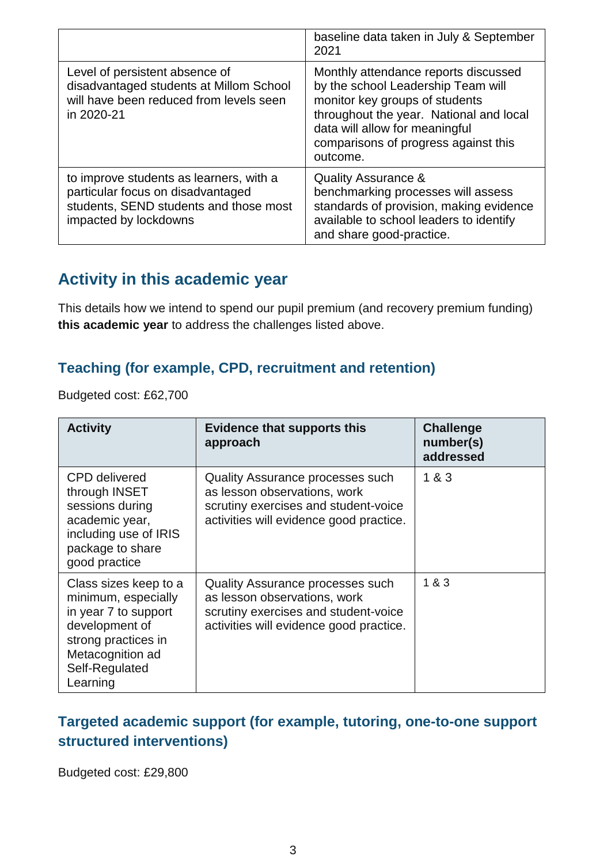|                                                                                                                                                 | baseline data taken in July & September<br>2021                                                                                                                                                                                               |
|-------------------------------------------------------------------------------------------------------------------------------------------------|-----------------------------------------------------------------------------------------------------------------------------------------------------------------------------------------------------------------------------------------------|
| Level of persistent absence of<br>disadvantaged students at Millom School<br>will have been reduced from levels seen<br>in 2020-21              | Monthly attendance reports discussed<br>by the school Leadership Team will<br>monitor key groups of students<br>throughout the year. National and local<br>data will allow for meaningful<br>comparisons of progress against this<br>outcome. |
| to improve students as learners, with a<br>particular focus on disadvantaged<br>students, SEND students and those most<br>impacted by lockdowns | <b>Quality Assurance &amp;</b><br>benchmarking processes will assess<br>standards of provision, making evidence<br>available to school leaders to identify<br>and share good-practice.                                                        |

# **Activity in this academic year**

This details how we intend to spend our pupil premium (and recovery premium funding) **this academic year** to address the challenges listed above.

#### **Teaching (for example, CPD, recruitment and retention)**

Budgeted cost: £62,700

| <b>Activity</b>                                                                                                                                                 | <b>Evidence that supports this</b><br>approach                                                                                                             | <b>Challenge</b><br>number(s)<br>addressed |
|-----------------------------------------------------------------------------------------------------------------------------------------------------------------|------------------------------------------------------------------------------------------------------------------------------------------------------------|--------------------------------------------|
| <b>CPD</b> delivered<br>through INSET<br>sessions during<br>academic year,<br>including use of IRIS<br>package to share<br>good practice                        | <b>Quality Assurance processes such</b><br>as lesson observations, work<br>scrutiny exercises and student-voice<br>activities will evidence good practice. | 1 & 3                                      |
| Class sizes keep to a<br>minimum, especially<br>in year 7 to support<br>development of<br>strong practices in<br>Metacognition ad<br>Self-Regulated<br>Learning | <b>Quality Assurance processes such</b><br>as lesson observations, work<br>scrutiny exercises and student-voice<br>activities will evidence good practice. | 1 & 3                                      |

#### **Targeted academic support (for example, tutoring, one-to-one support structured interventions)**

Budgeted cost: £29,800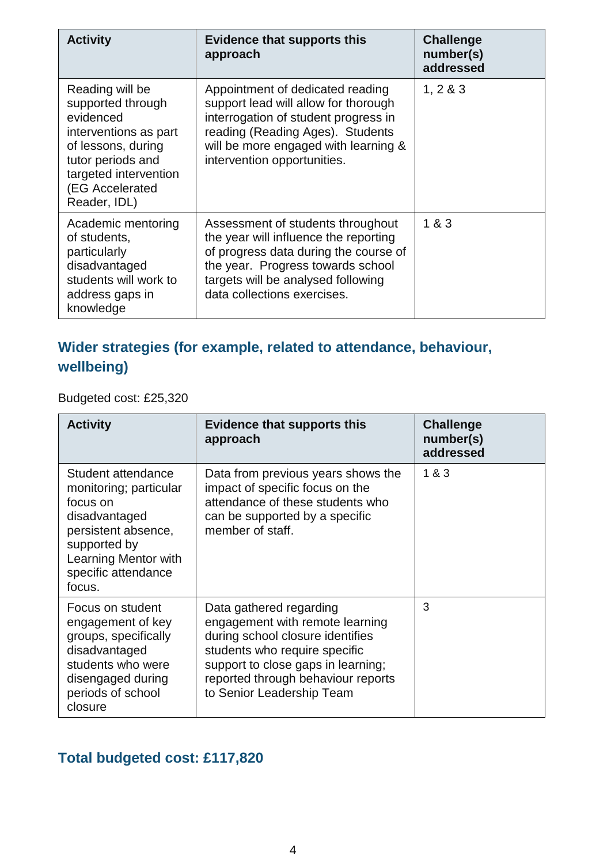| <b>Activity</b>                                                                                                                                                                         | <b>Evidence that supports this</b><br>approach                                                                                                                                                                                | <b>Challenge</b><br>number(s)<br>addressed |
|-----------------------------------------------------------------------------------------------------------------------------------------------------------------------------------------|-------------------------------------------------------------------------------------------------------------------------------------------------------------------------------------------------------------------------------|--------------------------------------------|
| Reading will be<br>supported through<br>evidenced<br>interventions as part<br>of lessons, during<br>tutor periods and<br>targeted intervention<br><b>EG Accelerated</b><br>Reader, IDL) | Appointment of dedicated reading<br>support lead will allow for thorough<br>interrogation of student progress in<br>reading (Reading Ages). Students<br>will be more engaged with learning &<br>intervention opportunities.   | 1, 2 & 3                                   |
| Academic mentoring<br>of students,<br>particularly<br>disadvantaged<br>students will work to<br>address gaps in<br>knowledge                                                            | Assessment of students throughout<br>the year will influence the reporting<br>of progress data during the course of<br>the year. Progress towards school<br>targets will be analysed following<br>data collections exercises. | 1 & 3                                      |

# **Wider strategies (for example, related to attendance, behaviour, wellbeing)**

Budgeted cost: £25,320

| <b>Activity</b>                                                                                                                                                           | <b>Evidence that supports this</b><br>approach                                                                                                                                                                                           | <b>Challenge</b><br>number(s)<br>addressed |
|---------------------------------------------------------------------------------------------------------------------------------------------------------------------------|------------------------------------------------------------------------------------------------------------------------------------------------------------------------------------------------------------------------------------------|--------------------------------------------|
| Student attendance<br>monitoring; particular<br>focus on<br>disadvantaged<br>persistent absence,<br>supported by<br>Learning Mentor with<br>specific attendance<br>focus. | Data from previous years shows the<br>impact of specific focus on the<br>attendance of these students who<br>can be supported by a specific<br>member of staff.                                                                          | 1 & 3                                      |
| Focus on student<br>engagement of key<br>groups, specifically<br>disadvantaged<br>students who were<br>disengaged during<br>periods of school<br>closure                  | Data gathered regarding<br>engagement with remote learning<br>during school closure identifies<br>students who require specific<br>support to close gaps in learning;<br>reported through behaviour reports<br>to Senior Leadership Team | 3                                          |

# **Total budgeted cost: £117,820**